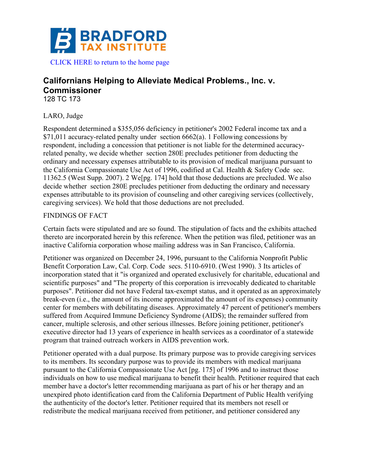

# **Californians Helping to Alleviate Medical Problems., Inc. v. Commissioner** 128 TC 173

## LARO, Judge

Respondent determined a \$355,056 deficiency in petitioner's 2002 Federal income tax and a \$71,011 accuracy-related penalty under section 6662(a). 1 Following concessions by respondent, including a concession that petitioner is not liable for the determined accuracyrelated penalty, we decide whether section 280E precludes petitioner from deducting the ordinary and necessary expenses attributable to its provision of medical marijuana pursuant to the California Compassionate Use Act of 1996, codified at Cal. Health & Safety Code sec. 11362.5 (West Supp. 2007). 2 We[pg. 174] hold that those deductions are precluded. We also decide whether section 280E precludes petitioner from deducting the ordinary and necessary expenses attributable to its provision of counseling and other caregiving services (collectively, caregiving services). We hold that those deductions are not precluded.

#### FINDINGS OF FACT

Certain facts were stipulated and are so found. The stipulation of facts and the exhibits attached thereto are incorporated herein by this reference. When the petition was filed, petitioner was an inactive California corporation whose mailing address was in San Francisco, California.

Petitioner was organized on December 24, 1996, pursuant to the California Nonprofit Public Benefit Corporation Law, Cal. Corp. Code secs. 5110-6910. (West 1990). 3 Its articles of incorporation stated that it "is organized and operated exclusively for charitable, educational and scientific purposes" and "The property of this corporation is irrevocably dedicated to charitable purposes". Petitioner did not have Federal tax-exempt status, and it operated as an approximately break-even (i.e., the amount of its income approximated the amount of its expenses) community center for members with debilitating diseases. Approximately 47 percent of petitioner's members suffered from Acquired Immune Deficiency Syndrome (AIDS); the remainder suffered from cancer, multiple sclerosis, and other serious illnesses. Before joining petitioner, petitioner's executive director had 13 years of experience in health services as a coordinator of a statewide program that trained outreach workers in AIDS prevention work.

Petitioner operated with a dual purpose. Its primary purpose was to provide caregiving services to its members. Its secondary purpose was to provide its members with medical marijuana pursuant to the California Compassionate Use Act [pg. 175] of 1996 and to instruct those individuals on how to use medical marijuana to benefit their health. Petitioner required that each member have a doctor's letter recommending marijuana as part of his or her therapy and an unexpired photo identification card from the California Department of Public Health verifying the authenticity of the doctor's letter. Petitioner required that its members not resell or redistribute the medical marijuana received from petitioner, and petitioner considered any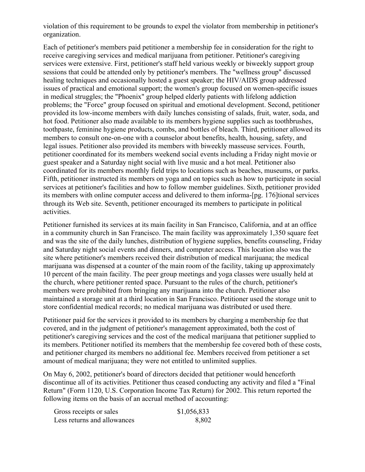violation of this requirement to be grounds to expel the violator from membership in petitioner's organization.

Each of petitioner's members paid petitioner a membership fee in consideration for the right to receive caregiving services and medical marijuana from petitioner. Petitioner's caregiving services were extensive. First, petitioner's staff held various weekly or biweekly support group sessions that could be attended only by petitioner's members. The "wellness group" discussed healing techniques and occasionally hosted a guest speaker; the HIV/AIDS group addressed issues of practical and emotional support; the women's group focused on women-specific issues in medical struggles; the "Phoenix" group helped elderly patients with lifelong addiction problems; the "Force" group focused on spiritual and emotional development. Second, petitioner provided its low-income members with daily lunches consisting of salads, fruit, water, soda, and hot food. Petitioner also made available to its members hygiene supplies such as toothbrushes, toothpaste, feminine hygiene products, combs, and bottles of bleach. Third, petitioner allowed its members to consult one-on-one with a counselor about benefits, health, housing, safety, and legal issues. Petitioner also provided its members with biweekly masseuse services. Fourth, petitioner coordinated for its members weekend social events including a Friday night movie or guest speaker and a Saturday night social with live music and a hot meal. Petitioner also coordinated for its members monthly field trips to locations such as beaches, museums, or parks. Fifth, petitioner instructed its members on yoga and on topics such as how to participate in social services at petitioner's facilities and how to follow member guidelines. Sixth, petitioner provided its members with online computer access and delivered to them informa-[pg. 176]tional services through its Web site. Seventh, petitioner encouraged its members to participate in political activities.

Petitioner furnished its services at its main facility in San Francisco, California, and at an office in a community church in San Francisco. The main facility was approximately 1,350 square feet and was the site of the daily lunches, distribution of hygiene supplies, benefits counseling, Friday and Saturday night social events and dinners, and computer access. This location also was the site where petitioner's members received their distribution of medical marijuana; the medical marijuana was dispensed at a counter of the main room of the facility, taking up approximately 10 percent of the main facility. The peer group meetings and yoga classes were usually held at the church, where petitioner rented space. Pursuant to the rules of the church, petitioner's members were prohibited from bringing any marijuana into the church. Petitioner also maintained a storage unit at a third location in San Francisco. Petitioner used the storage unit to store confidential medical records; no medical marijuana was distributed or used there.

Petitioner paid for the services it provided to its members by charging a membership fee that covered, and in the judgment of petitioner's management approximated, both the cost of petitioner's caregiving services and the cost of the medical marijuana that petitioner supplied to its members. Petitioner notified its members that the membership fee covered both of these costs, and petitioner charged its members no additional fee. Members received from petitioner a set amount of medical marijuana; they were not entitled to unlimited supplies.

On May 6, 2002, petitioner's board of directors decided that petitioner would henceforth discontinue all of its activities. Petitioner thus ceased conducting any activity and filed a "Final Return" (Form 1120, U.S. Corporation Income Tax Return) for 2002. This return reported the following items on the basis of an accrual method of accounting:

| Gross receipts or sales     | \$1,056,833 |
|-----------------------------|-------------|
| Less returns and allowances | 8,802       |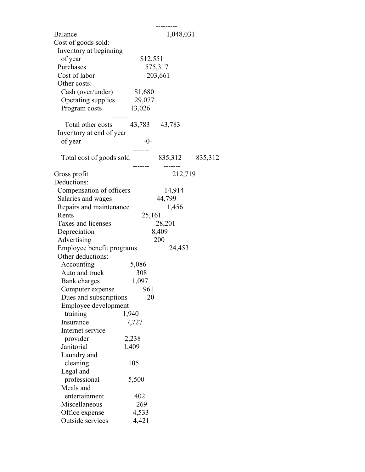| <b>Balance</b>                  | 1,048,031 |                 |  |  |  |
|---------------------------------|-----------|-----------------|--|--|--|
| Cost of goods sold:             |           |                 |  |  |  |
| Inventory at beginning          |           |                 |  |  |  |
| of year                         |           | \$12,551        |  |  |  |
| Purchases                       |           | 575,317         |  |  |  |
| Cost of labor                   |           | 203,661         |  |  |  |
| Other costs:                    |           |                 |  |  |  |
| Cash (over/under)               | \$1,680   |                 |  |  |  |
| Operating supplies              | 29,077    |                 |  |  |  |
|                                 |           |                 |  |  |  |
| Program costs                   | 13,026    |                 |  |  |  |
| Total other costs 43,783 43,783 |           |                 |  |  |  |
|                                 |           |                 |  |  |  |
| Inventory at end of year        | $-0-$     |                 |  |  |  |
| of year                         |           |                 |  |  |  |
|                                 |           | 835,312 835,312 |  |  |  |
| Total cost of goods sold        |           |                 |  |  |  |
| Gross profit                    |           | 212,719         |  |  |  |
| Deductions:                     |           |                 |  |  |  |
| Compensation of officers        |           | 14,914          |  |  |  |
| Salaries and wages              |           | 44,799          |  |  |  |
|                                 |           |                 |  |  |  |
| Repairs and maintenance         |           | 1,456           |  |  |  |
| Rents                           | 25,161    |                 |  |  |  |
| Taxes and licenses              |           | 28,201          |  |  |  |
| Depreciation                    |           | 8,409           |  |  |  |
| Advertising                     |           | 200             |  |  |  |
| Employee benefit programs       |           | 24,453          |  |  |  |
| Other deductions:               |           |                 |  |  |  |
| Accounting                      | 5,086     |                 |  |  |  |
| Auto and truck                  | 308       |                 |  |  |  |
| Bank charges                    | 1,097     |                 |  |  |  |
| Computer expense                | 961       |                 |  |  |  |
| Dues and subscriptions          | 20        |                 |  |  |  |
| Employee development            |           |                 |  |  |  |
| training                        | 1,940     |                 |  |  |  |
| Insurance                       | 7,727     |                 |  |  |  |
| Internet service                |           |                 |  |  |  |
| provider                        | 2,238     |                 |  |  |  |
| Janitorial                      | 1,409     |                 |  |  |  |
| Laundry and                     |           |                 |  |  |  |
| cleaning                        | 105       |                 |  |  |  |
| Legal and                       |           |                 |  |  |  |
| professional                    | 5,500     |                 |  |  |  |
| Meals and                       |           |                 |  |  |  |
| entertainment                   | 402       |                 |  |  |  |
| Miscellaneous                   | 269       |                 |  |  |  |
| Office expense                  | 4,533     |                 |  |  |  |
| Outside services                | 4,421     |                 |  |  |  |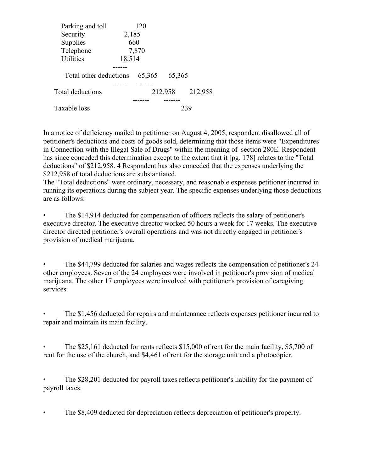| Parking and toll       |        | 120    |         |         |  |  |
|------------------------|--------|--------|---------|---------|--|--|
| Security               | 2,185  |        |         |         |  |  |
| Supplies               |        | 660    |         |         |  |  |
| Telephone              |        | 7,870  |         |         |  |  |
| <b>Utilities</b>       | 18,514 |        |         |         |  |  |
|                        |        |        |         |         |  |  |
| Total other deductions |        | 65,365 | 65,365  |         |  |  |
|                        |        |        |         |         |  |  |
| Total deductions       |        |        | 212,958 | 212,958 |  |  |
|                        |        |        |         |         |  |  |
| Taxable loss           |        | 239    |         |         |  |  |

In a notice of deficiency mailed to petitioner on August 4, 2005, respondent disallowed all of petitioner's deductions and costs of goods sold, determining that those items were "Expenditures in Connection with the Illegal Sale of Drugs" within the meaning of section 280E. Respondent has since conceded this determination except to the extent that it [pg. 178] relates to the "Total deductions" of \$212,958. 4 Respondent has also conceded that the expenses underlying the \$212,958 of total deductions are substantiated.

The "Total deductions" were ordinary, necessary, and reasonable expenses petitioner incurred in running its operations during the subject year. The specific expenses underlying those deductions are as follows:

• The \$14,914 deducted for compensation of officers reflects the salary of petitioner's executive director. The executive director worked 50 hours a week for 17 weeks. The executive director directed petitioner's overall operations and was not directly engaged in petitioner's provision of medical marijuana.

• The \$44,799 deducted for salaries and wages reflects the compensation of petitioner's 24 other employees. Seven of the 24 employees were involved in petitioner's provision of medical marijuana. The other 17 employees were involved with petitioner's provision of caregiving services.

• The \$1,456 deducted for repairs and maintenance reflects expenses petitioner incurred to repair and maintain its main facility.

• The \$25,161 deducted for rents reflects \$15,000 of rent for the main facility, \$5,700 of rent for the use of the church, and \$4,461 of rent for the storage unit and a photocopier.

• The \$28,201 deducted for payroll taxes reflects petitioner's liability for the payment of payroll taxes.

• The \$8,409 deducted for depreciation reflects depreciation of petitioner's property.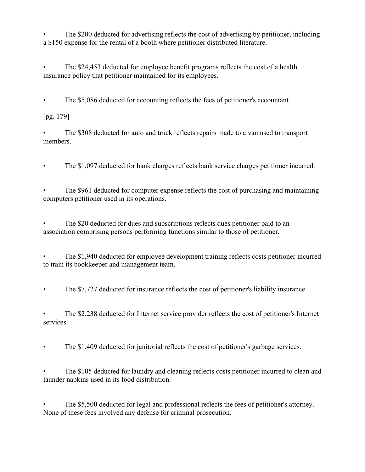The \$200 deducted for advertising reflects the cost of advertising by petitioner, including a \$150 expense for the rental of a booth where petitioner distributed literature.

• The \$24,453 deducted for employee benefit programs reflects the cost of a health insurance policy that petitioner maintained for its employees.

• The \$5,086 deducted for accounting reflects the fees of petitioner's accountant.

[pg. 179]

• The \$308 deducted for auto and truck reflects repairs made to a van used to transport members.

• The \$1,097 deducted for bank charges reflects bank service charges petitioner incurred.

• The \$961 deducted for computer expense reflects the cost of purchasing and maintaining computers petitioner used in its operations.

• The \$20 deducted for dues and subscriptions reflects dues petitioner paid to an association comprising persons performing functions similar to those of petitioner.

• The \$1,940 deducted for employee development training reflects costs petitioner incurred to train its bookkeeper and management team.

• The \$7,727 deducted for insurance reflects the cost of petitioner's liability insurance.

• The \$2,238 deducted for Internet service provider reflects the cost of petitioner's Internet services.

• The \$1,409 deducted for janitorial reflects the cost of petitioner's garbage services.

• The \$105 deducted for laundry and cleaning reflects costs petitioner incurred to clean and launder napkins used in its food distribution.

The \$5,500 deducted for legal and professional reflects the fees of petitioner's attorney. None of these fees involved any defense for criminal prosecution.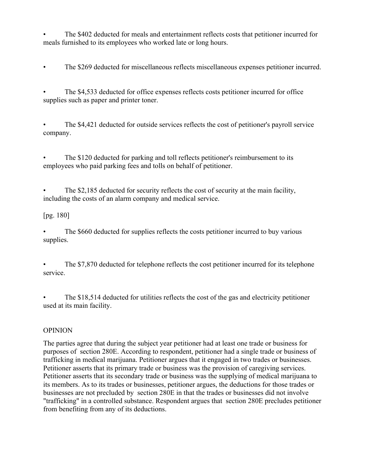• The \$402 deducted for meals and entertainment reflects costs that petitioner incurred for meals furnished to its employees who worked late or long hours.

• The \$269 deducted for miscellaneous reflects miscellaneous expenses petitioner incurred.

• The \$4,533 deducted for office expenses reflects costs petitioner incurred for office supplies such as paper and printer toner.

• The \$4,421 deducted for outside services reflects the cost of petitioner's payroll service company.

• The \$120 deducted for parking and toll reflects petitioner's reimbursement to its employees who paid parking fees and tolls on behalf of petitioner.

• The \$2,185 deducted for security reflects the cost of security at the main facility, including the costs of an alarm company and medical service.

## [pg. 180]

The \$660 deducted for supplies reflects the costs petitioner incurred to buy various supplies.

The \$7,870 deducted for telephone reflects the cost petitioner incurred for its telephone service.

The \$18,514 deducted for utilities reflects the cost of the gas and electricity petitioner used at its main facility.

## OPINION

The parties agree that during the subject year petitioner had at least one trade or business for purposes of section 280E. According to respondent, petitioner had a single trade or business of trafficking in medical marijuana. Petitioner argues that it engaged in two trades or businesses. Petitioner asserts that its primary trade or business was the provision of caregiving services. Petitioner asserts that its secondary trade or business was the supplying of medical marijuana to its members. As to its trades or businesses, petitioner argues, the deductions for those trades or businesses are not precluded by section 280E in that the trades or businesses did not involve "trafficking" in a controlled substance. Respondent argues that section 280E precludes petitioner from benefiting from any of its deductions.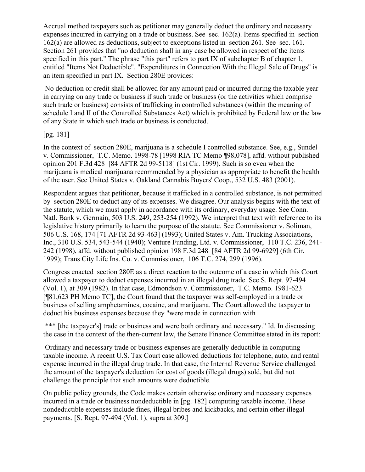Accrual method taxpayers such as petitioner may generally deduct the ordinary and necessary expenses incurred in carrying on a trade or business. See sec. 162(a). Items specified in section 162(a) are allowed as deductions, subject to exceptions listed in section 261. See sec. 161. Section 261 provides that "no deduction shall in any case be allowed in respect of the items specified in this part." The phrase "this part" refers to part IX of subchapter B of chapter 1, entitled "Items Not Deductible". "Expenditures in Connection With the Illegal Sale of Drugs" is an item specified in part IX. Section 280E provides:

No deduction or credit shall be allowed for any amount paid or incurred during the taxable year in carrying on any trade or business if such trade or business (or the activities which comprise such trade or business) consists of trafficking in controlled substances (within the meaning of schedule I and II of the Controlled Substances Act) which is prohibited by Federal law or the law of any State in which such trade or business is conducted.

#### [pg. 181]

In the context of section 280E, marijuana is a schedule I controlled substance. See, e.g., Sundel v. Commissioner, T.C. Memo. 1998-78 [1998 RIA TC Memo ¶98,078], affd. without published opinion 201 F.3d 428 [84 AFTR 2d 99-5118] (1st Cir. 1999). Such is so even when the marijuana is medical marijuana recommended by a physician as appropriate to benefit the health of the user. See United States v. Oakland Cannabis Buyers' Coop., 532 U.S. 483 (2001).

Respondent argues that petitioner, because it trafficked in a controlled substance, is not permitted by section 280E to deduct any of its expenses. We disagree. Our analysis begins with the text of the statute, which we must apply in accordance with its ordinary, everyday usage. See Conn. Natl. Bank v. Germain, 503 U.S. 249, 253-254 (1992). We interpret that text with reference to its legislative history primarily to learn the purpose of the statute. See Commissioner v. Soliman, 506 U.S. 168, 174 [71 AFTR 2d 93-463] (1993); United States v. Am. Trucking Associations, Inc., 310 U.S. 534, 543-544 (1940); Venture Funding, Ltd. v. Commissioner, 110 T.C. 236, 241- 242 (1998), affd. without published opinion 198 F.3d 248 [84 AFTR 2d 99-6929] (6th Cir. 1999); Trans City Life Ins. Co. v. Commissioner, 106 T.C. 274, 299 (1996).

Congress enacted section 280E as a direct reaction to the outcome of a case in which this Court allowed a taxpayer to deduct expenses incurred in an illegal drug trade. See S. Rept. 97-494 (Vol. 1), at 309 (1982). In that case, Edmondson v. Commissioner, T.C. Memo. 1981-623 [¶81,623 PH Memo TC], the Court found that the taxpayer was self-employed in a trade or business of selling amphetamines, cocaine, and marijuana. The Court allowed the taxpayer to deduct his business expenses because they "were made in connection with

\*\*\* [the taxpayer's] trade or business and were both ordinary and necessary." Id. In discussing the case in the context of the then-current law, the Senate Finance Committee stated in its report:

Ordinary and necessary trade or business expenses are generally deductible in computing taxable income. A recent U.S. Tax Court case allowed deductions for telephone, auto, and rental expense incurred in the illegal drug trade. In that case, the Internal Revenue Service challenged the amount of the taxpayer's deduction for cost of goods (illegal drugs) sold, but did not challenge the principle that such amounts were deductible.

On public policy grounds, the Code makes certain otherwise ordinary and necessary expenses incurred in a trade or business nondeductible in [pg. 182] computing taxable income. These nondeductible expenses include fines, illegal bribes and kickbacks, and certain other illegal payments. [S. Rept. 97-494 (Vol. 1), supra at 309.]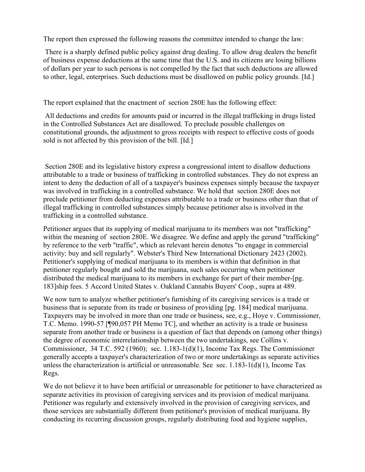The report then expressed the following reasons the committee intended to change the law:

There is a sharply defined public policy against drug dealing. To allow drug dealers the benefit of business expense deductions at the same time that the U.S. and its citizens are losing billions of dollars per year to such persons is not compelled by the fact that such deductions are allowed to other, legal, enterprises. Such deductions must be disallowed on public policy grounds. [Id.]

The report explained that the enactment of section 280E has the following effect:

All deductions and credits for amounts paid or incurred in the illegal trafficking in drugs listed in the Controlled Substances Act are disallowed. To preclude possible challenges on constitutional grounds, the adjustment to gross receipts with respect to effective costs of goods sold is not affected by this provision of the bill. [Id.]

Section 280E and its legislative history express a congressional intent to disallow deductions attributable to a trade or business of trafficking in controlled substances. They do not express an intent to deny the deduction of all of a taxpayer's business expenses simply because the taxpayer was involved in trafficking in a controlled substance. We hold that section 280E does not preclude petitioner from deducting expenses attributable to a trade or business other than that of illegal trafficking in controlled substances simply because petitioner also is involved in the trafficking in a controlled substance.

Petitioner argues that its supplying of medical marijuana to its members was not "trafficking" within the meaning of section 280E. We disagree. We define and apply the gerund "trafficking" by reference to the verb "traffic", which as relevant herein denotes "to engage in commercial activity: buy and sell regularly". Webster's Third New International Dictionary 2423 (2002). Petitioner's supplying of medical marijuana to its members is within that definition in that petitioner regularly bought and sold the marijuana, such sales occurring when petitioner distributed the medical marijuana to its members in exchange for part of their member-[pg. 183]ship fees. 5 Accord United States v. Oakland Cannabis Buyers' Coop., supra at 489.

We now turn to analyze whether petitioner's furnishing of its caregiving services is a trade or business that is separate from its trade or business of providing [pg. 184] medical marijuana. Taxpayers may be involved in more than one trade or business, see, e.g., Hoye v. Commissioner, T.C. Memo. 1990-57 [¶90,057 PH Memo TC], and whether an activity is a trade or business separate from another trade or business is a question of fact that depends on (among other things) the degree of economic interrelationship between the two undertakings, see Collins v. Commissioner, 34 T.C. 592 (1960); sec. 1.183-1(d)(1), Income Tax Regs. The Commissioner generally accepts a taxpayer's characterization of two or more undertakings as separate activities unless the characterization is artificial or unreasonable. See sec.  $1.183-1(d)(1)$ , Income Tax Regs.

We do not believe it to have been artificial or unreasonable for petitioner to have characterized as separate activities its provision of caregiving services and its provision of medical marijuana. Petitioner was regularly and extensively involved in the provision of caregiving services, and those services are substantially different from petitioner's provision of medical marijuana. By conducting its recurring discussion groups, regularly distributing food and hygiene supplies,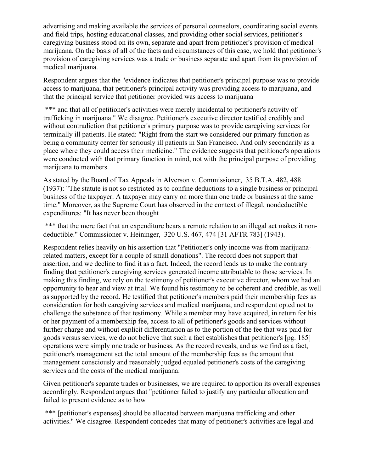advertising and making available the services of personal counselors, coordinating social events and field trips, hosting educational classes, and providing other social services, petitioner's caregiving business stood on its own, separate and apart from petitioner's provision of medical marijuana. On the basis of all of the facts and circumstances of this case, we hold that petitioner's provision of caregiving services was a trade or business separate and apart from its provision of medical marijuana.

Respondent argues that the "evidence indicates that petitioner's principal purpose was to provide access to marijuana, that petitioner's principal activity was providing access to marijuana, and that the principal service that petitioner provided was access to marijuana

\*\*\* and that all of petitioner's activities were merely incidental to petitioner's activity of trafficking in marijuana." We disagree. Petitioner's executive director testified credibly and without contradiction that petitioner's primary purpose was to provide caregiving services for terminally ill patients. He stated: "Right from the start we considered our primary function as being a community center for seriously ill patients in San Francisco. And only secondarily as a place where they could access their medicine." The evidence suggests that petitioner's operations were conducted with that primary function in mind, not with the principal purpose of providing marijuana to members.

As stated by the Board of Tax Appeals in Alverson v. Commissioner, 35 B.T.A. 482, 488 (1937): "The statute is not so restricted as to confine deductions to a single business or principal business of the taxpayer. A taxpayer may carry on more than one trade or business at the same time." Moreover, as the Supreme Court has observed in the context of illegal, nondeductible expenditures: "It has never been thought

\*\*\* that the mere fact that an expenditure bears a remote relation to an illegal act makes it nondeductible." Commissioner v. Heininger, 320 U.S. 467, 474 [31 AFTR 783] (1943).

Respondent relies heavily on his assertion that "Petitioner's only income was from marijuanarelated matters, except for a couple of small donations". The record does not support that assertion, and we decline to find it as a fact. Indeed, the record leads us to make the contrary finding that petitioner's caregiving services generated income attributable to those services. In making this finding, we rely on the testimony of petitioner's executive director, whom we had an opportunity to hear and view at trial. We found his testimony to be coherent and credible, as well as supported by the record. He testified that petitioner's members paid their membership fees as consideration for both caregiving services and medical marijuana, and respondent opted not to challenge the substance of that testimony. While a member may have acquired, in return for his or her payment of a membership fee, access to all of petitioner's goods and services without further charge and without explicit differentiation as to the portion of the fee that was paid for goods versus services, we do not believe that such a fact establishes that petitioner's [pg. 185] operations were simply one trade or business. As the record reveals, and as we find as a fact, petitioner's management set the total amount of the membership fees as the amount that management consciously and reasonably judged equaled petitioner's costs of the caregiving services and the costs of the medical marijuana.

Given petitioner's separate trades or businesses, we are required to apportion its overall expenses accordingly. Respondent argues that "petitioner failed to justify any particular allocation and failed to present evidence as to how

\*\*\* [petitioner's expenses] should be allocated between marijuana trafficking and other activities." We disagree. Respondent concedes that many of petitioner's activities are legal and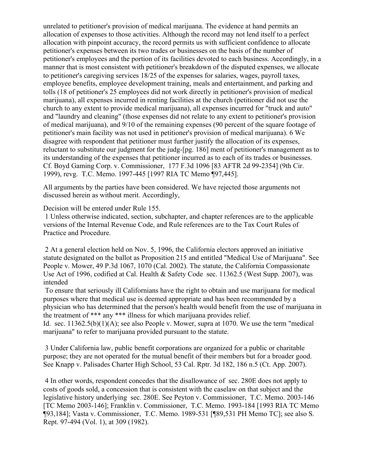unrelated to petitioner's provision of medical marijuana. The evidence at hand permits an allocation of expenses to those activities. Although the record may not lend itself to a perfect allocation with pinpoint accuracy, the record permits us with sufficient confidence to allocate petitioner's expenses between its two trades or businesses on the basis of the number of petitioner's employees and the portion of its facilities devoted to each business. Accordingly, in a manner that is most consistent with petitioner's breakdown of the disputed expenses, we allocate to petitioner's caregiving services 18/25 of the expenses for salaries, wages, payroll taxes, employee benefits, employee development training, meals and entertainment, and parking and tolls (18 of petitioner's 25 employees did not work directly in petitioner's provision of medical marijuana), all expenses incurred in renting facilities at the church (petitioner did not use the church to any extent to provide medical marijuana), all expenses incurred for "truck and auto" and "laundry and cleaning" (those expenses did not relate to any extent to petitioner's provision of medical marijuana), and 9/10 of the remaining expenses (90 percent of the square footage of petitioner's main facility was not used in petitioner's provision of medical marijuana). 6 We disagree with respondent that petitioner must further justify the allocation of its expenses, reluctant to substitute our judgment for the judg-[pg. 186] ment of petitioner's management as to its understanding of the expenses that petitioner incurred as to each of its trades or businesses. Cf. Boyd Gaming Corp. v. Commissioner, 177 F.3d 1096 [83 AFTR 2d 99-2354] (9th Cir. 1999), revg. T.C. Memo. 1997-445 [1997 RIA TC Memo ¶97,445].

All arguments by the parties have been considered. We have rejected those arguments not discussed herein as without merit. Accordingly,

Decision will be entered under Rule 155.

1 Unless otherwise indicated, section, subchapter, and chapter references are to the applicable versions of the Internal Revenue Code, and Rule references are to the Tax Court Rules of Practice and Procedure.

2 At a general election held on Nov. 5, 1996, the California electors approved an initiative statute designated on the ballot as Proposition 215 and entitled "Medical Use of Marijuana". See People v. Mower, 49 P.3d 1067, 1070 (Cal. 2002). The statute, the California Compassionate Use Act of 1996, codified at Cal. Health & Safety Code sec. 11362.5 (West Supp. 2007), was intended

To ensure that seriously ill Californians have the right to obtain and use marijuana for medical purposes where that medical use is deemed appropriate and has been recommended by a physician who has determined that the person's health would benefit from the use of marijuana in the treatment of \*\*\* any \*\*\* illness for which marijuana provides relief.

Id. sec. 11362.5(b)(1)(A); see also People v. Mower, supra at 1070. We use the term "medical marijuana" to refer to marijuana provided pursuant to the statute.

3 Under California law, public benefit corporations are organized for a public or charitable purpose; they are not operated for the mutual benefit of their members but for a broader good. See Knapp v. Palisades Charter High School, 53 Cal. Rptr. 3d 182, 186 n.5 (Ct. App. 2007).

4 In other words, respondent concedes that the disallowance of sec. 280E does not apply to costs of goods sold, a concession that is consistent with the caselaw on that subject and the legislative history underlying sec. 280E. See Peyton v. Commissioner, T.C. Memo. 2003-146 [TC Memo 2003-146]; Franklin v. Commissioner, T.C. Memo. 1993-184 [1993 RIA TC Memo ¶93,184]; Vasta v. Commissioner, T.C. Memo. 1989-531 [¶89,531 PH Memo TC]; see also S. Rept. 97-494 (Vol. 1), at 309 (1982).